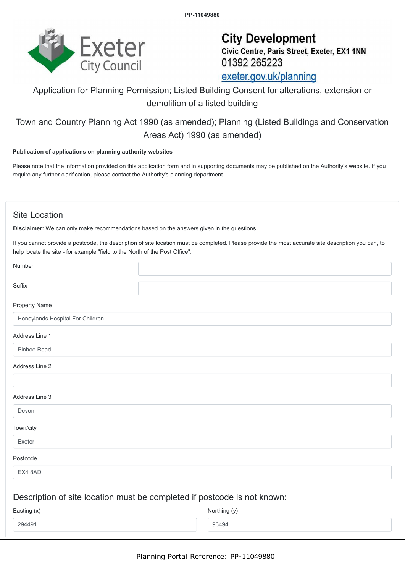

# **City Development** Civic Centre, Paris Street, Exeter, EX1 1NN 01392 265223 exeter.gov.uk/planning

# Application for Planning Permission; Listed Building Consent for alterations, extension or demolition of a listed building

## Town and Country Planning Act 1990 (as amended); Planning (Listed Buildings and Conservation Areas Act) 1990 (as amended)

#### **Publication of applications on planning authority websites**

Please note that the information provided on this application form and in supporting documents may be published on the Authority's website. If you require any further clarification, please contact the Authority's planning department.

### Site Location

**Disclaimer:** We can only make recommendations based on the answers given in the questions.

If you cannot provide a postcode, the description of site location must be completed. Please provide the most accurate site description you can, to help locate the site - for example "field to the North of the Post Office".

| Number                           |                                                                          |
|----------------------------------|--------------------------------------------------------------------------|
| Suffix                           |                                                                          |
| Property Name                    |                                                                          |
| Honeylands Hospital For Children |                                                                          |
| Address Line 1                   |                                                                          |
| Pinhoe Road                      |                                                                          |
| Address Line 2                   |                                                                          |
|                                  |                                                                          |
| Address Line 3                   |                                                                          |
| Devon                            |                                                                          |
| Town/city                        |                                                                          |
| Exeter                           |                                                                          |
| Postcode                         |                                                                          |
| EX4 8AD                          |                                                                          |
|                                  | Description of site location must be completed if postcode is not known: |
| Easting (x)                      | Northing (y)                                                             |
| 294491                           | 93494                                                                    |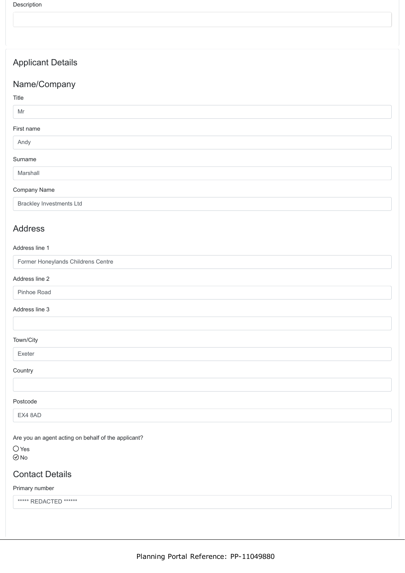## Applicant Details

## Name/Company

### Title

#### Mr

#### First name

Andy

## Surname

Marshall

#### Company Name

Brackley Investments Ltd

## Address

#### Address line 1

| Former Honeylands Childrens Centre |  |  |  |  |
|------------------------------------|--|--|--|--|
| Address line 2                     |  |  |  |  |

#### Pinhoe Road

#### Address line 3

### Town/City

Exeter

#### **Country**

#### Postcode

EX4 8AD

Are you an agent acting on behalf of the applicant?

O Yes  $\odot$ No

### Contact Details

#### Primary number

\*\*\*\*\* REDACTED \*\*\*\*\*\*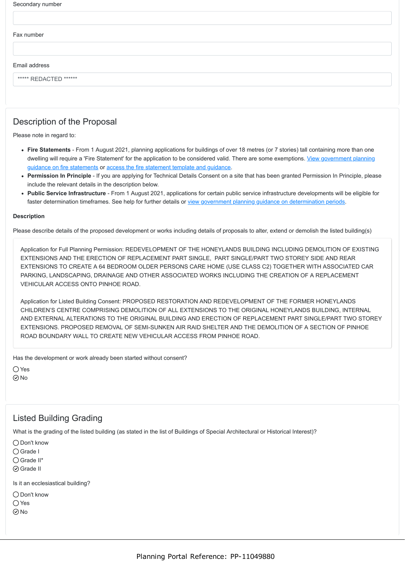| Secondary number |  |
|------------------|--|
|------------------|--|

#### Fax number

Email address

\*\*\*\*\* REDACTED \*\*\*\*\*\*

## Description of the Proposal

Please note in regard to:

- **Fire Statements** From 1 August 2021, planning applications for buildings of over 18 metres (or 7 stories) tall containing more than one [dwelling will require a 'Fire Statement' for the application to be considered valid. There are some exemptions. View government planning](https://www.gov.uk/guidance/fire-safety-and-high-rise-residential-buildings-from-1-august-2021) guidance on fire statements or [access the fire statement template and guidance](https://www.gov.uk/government/publications/planning-application-forms-templates-for-local-planning-authorities#attachment_5328788).
- **Permission In Principle** If you are applying for Technical Details Consent on a site that has been granted Permission In Principle, please include the relevant details in the description below.
- **Public Service Infrastructure** From 1 August 2021, applications for certain public service infrastructure developments will be eligible for faster determination timeframes. See help for further details or [view government planning guidance on determination periods](https://www.gov.uk/guidance/determining-a-planning-application#what-are-the-time-periods-for-determining-a-planning-application).

#### **Description**

Please describe details of the proposed development or works including details of proposals to alter, extend or demolish the listed building(s)

Application for Full Planning Permission: REDEVELOPMENT OF THE HONEYLANDS BUILDING INCLUDING DEMOLITION OF EXISTING EXTENSIONS AND THE ERECTION OF REPLACEMENT PART SINGLE, PART SINGLE/PART TWO STOREY SIDE AND REAR EXTENSIONS TO CREATE A 64 BEDROOM OLDER PERSONS CARE HOME (USE CLASS C2) TOGETHER WITH ASSOCIATED CAR PARKING, LANDSCAPING, DRAINAGE AND OTHER ASSOCIATED WORKS INCLUDING THE CREATION OF A REPLACEMENT VEHICULAR ACCESS ONTO PINHOE ROAD.

Application for Listed Building Consent: PROPOSED RESTORATION AND REDEVELOPMENT OF THE FORMER HONEYLANDS CHILDREN'S CENTRE COMPRISING DEMOLITION OF ALL EXTENSIONS TO THE ORIGINAL HONEYLANDS BUILDING, INTERNAL AND EXTERNAL ALTERATIONS TO THE ORIGINAL BUILDING AND ERECTION OF REPLACEMENT PART SINGLE/PART TWO STOREY EXTENSIONS. PROPOSED REMOVAL OF SEMI-SUNKEN AIR RAID SHELTER AND THE DEMOLITION OF A SECTION OF PINHOE ROAD BOUNDARY WALL TO CREATE NEW VEHICULAR ACCESS FROM PINHOE ROAD.

Has the development or work already been started without consent?

 $\bigcap$  Yes  $\odot$  No

### Listed Building Grading

What is the grading of the listed building (as stated in the list of Buildings of Special Architectural or Historical Interest)?

○ Don't know

- Grade I
- Grade II\*
- Grade II

Is it an ecclesiastical building?

Don't know

 $\bigcap$  Yes

 $\odot$ No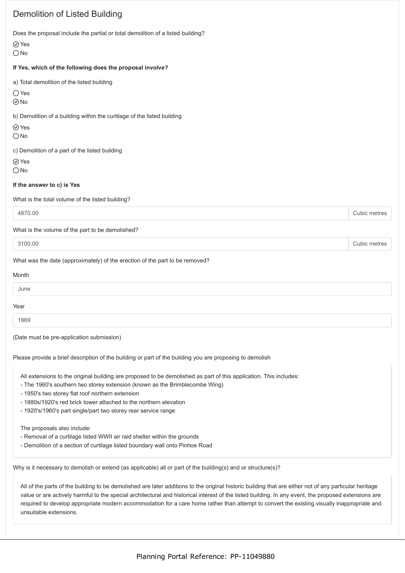## Demolition of Listed Building

Does the proposal include the partial or total demolition of a listed building?

Yes

O<sub>No</sub>

#### **If Yes, which of the following does the proposal involve?**

a) Total demolition of the listed building

Yes

 $\odot$ No

b) Demolition of a building within the curtilage of the listed building

⊙ Yes

 $\bigcirc$  No

c) Demolition of a part of the listed building

Yes

 $\bigcirc$  No

#### **If the answer to c) is Yes**

What is the total volume of the listed building?

4870.00 Cubic metres

What is the volume of the part to be demolished?

3100.00 Cubic metres

#### What was the date (approximately) of the erection of the part to be removed?

| Month |  |
|-------|--|
| June  |  |
| Year  |  |
| 1969  |  |

(Date must be pre-application submission)

Please provide a brief description of the building or part of the building you are proposing to demolish

All extensions to the original building are proposed to be demolished as part of this application. This includes:

- The 1960's southern two storey extension (known as the Brimblecombe Wing)
- 1950's two storey flat roof northern extension
- 1880s/1920's red brick tower attached to the northern elevation
- 1920's/1960's part single/part two storey rear service range

The proposals also include:

- Removal of a curtilage listed WWII air raid shelter within the grounds
- Demolition of a section of curtilage listed boundary wall onto Pinhoe Road

Why is it necessary to demolish or extend (as applicable) all or part of the building(s) and or structure(s)?

All of the parts of the building to be demolished are later additions to the original historic building that are either not of any particular heritage value or are actively harmful to the special architectural and historical interest of the listed building. In any event, the proposed extensions are required to develop appropriate modern accommodation for a care home rather than attempt to convert the existing visually inappropriate and unsuitable extensions.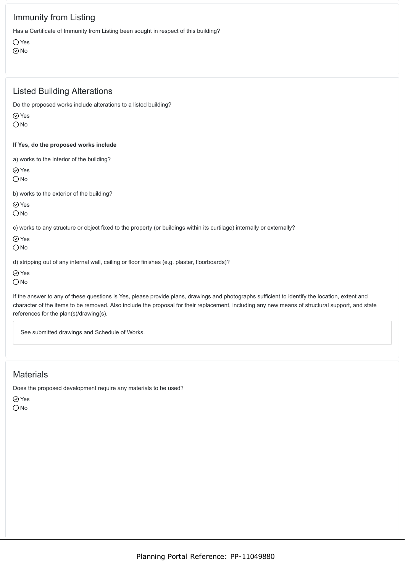## Immunity from Listing

Has a Certificate of Immunity from Listing been sought in respect of this building?

 $\bigcirc$  Yes  $\odot$ No

### Listed Building Alterations

Do the proposed works include alterations to a listed building?

Yes

 $\bigcirc$  No

#### **If Yes, do the proposed works include**

a) works to the interior of the building?

Yes

O<sub>No</sub>

b) works to the exterior of the building?

⊙ Yes

 $\bigcirc$  No

c) works to any structure or object fixed to the property (or buildings within its curtilage) internally or externally?

Yes

 $\bigcirc$  No

d) stripping out of any internal wall, ceiling or floor finishes (e.g. plaster, floorboards)?

⊙ Yes

 $\bigcirc$  No

If the answer to any of these questions is Yes, please provide plans, drawings and photographs sufficient to identify the location, extent and character of the items to be removed. Also include the proposal for their replacement, including any new means of structural support, and state references for the plan(s)/drawing(s).

See submitted drawings and Schedule of Works.

## **Materials**

Does the proposed development require any materials to be used?

⊙ Yes

 $\bigcirc$  No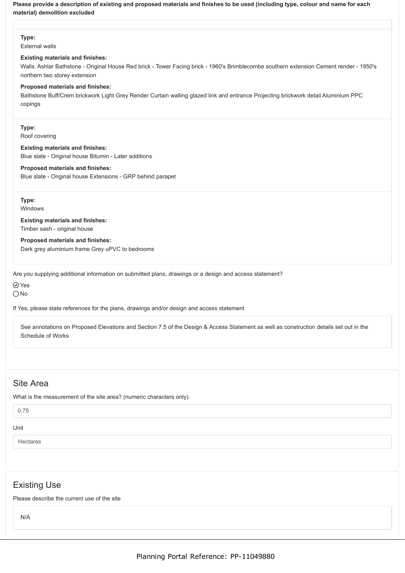**Please provide a description of existing and proposed materials and finishes to be used (including type, colour and name for each material) demolition excluded**

**Type:**

External walls

#### **Existing materials and finishes:**

Walls: Ashlar Bathstone - Original House Red brick - Tower Facing brick - 1960's Brimblecombe southern extension Cement render - 1950's northern two storey extension

#### **Proposed materials and finishes:**

Bathstone Buff/Crem brickwork Light Grey Render Curtain walling glazed link and entrance Projecting brickwork detail Aluminium PPC copings

**Type:** Roof covering

**Existing materials and finishes:** Blue slate - Original house Bitumin - Later additions

**Proposed materials and finishes:**

Blue slate - Original house Extensions - GRP behind parapet

**Type:** Windows

**Existing materials and finishes:** Timber sash - original house

**Proposed materials and finishes:** Dark grey aluminium frame Grey uPVC to bedrooms

Are you supplying additional information on submitted plans, drawings or a design and access statement?

 $\oslash$  Yes

 $\bigcirc$  No

If Yes, please state references for the plans, drawings and/or design and access statement

See annotations on Proposed Elevations and Section 7.5 of the Design & Access Statement as well as construction details set out in the Schedule of Works

## Site Area

What is the measurement of the site area? (numeric characters only).

0.75

Unit

Hectares

## Existing Use

Please describe the current use of the site

N/A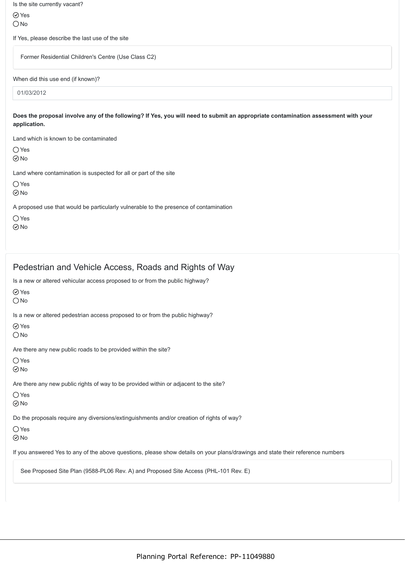| Is the site currently vacant?                                                                                                                     |
|---------------------------------------------------------------------------------------------------------------------------------------------------|
| $\odot$ Yes                                                                                                                                       |
| $\bigcirc$ No                                                                                                                                     |
| If Yes, please describe the last use of the site                                                                                                  |
| Former Residential Children's Centre (Use Class C2)                                                                                               |
| When did this use end (if known)?                                                                                                                 |
|                                                                                                                                                   |
| 01/03/2012                                                                                                                                        |
| Does the proposal involve any of the following? If Yes, you will need to submit an appropriate contamination assessment with your<br>application. |
| Land which is known to be contaminated                                                                                                            |
| $\bigcirc$ Yes<br>$\odot$ No                                                                                                                      |
|                                                                                                                                                   |
| Land where contamination is suspected for all or part of the site<br>$\bigcirc$ Yes<br>$\odot$ No                                                 |

No

## Pedestrian and Vehicle Access, Roads and Rights of Way

Is a new or altered vehicular access proposed to or from the public highway?

Yes

 $\bigcirc$  No

Is a new or altered pedestrian access proposed to or from the public highway?

Yes

 $\bigcirc$  No

Are there any new public roads to be provided within the site?

○ Yes

 $\odot$ No

Are there any new public rights of way to be provided within or adjacent to the site?

 $\bigcirc$  Yes

No

Do the proposals require any diversions/extinguishments and/or creation of rights of way?

 $\bigcirc$  Yes

 $\odot$ No

If you answered Yes to any of the above questions, please show details on your plans/drawings and state their reference numbers

See Proposed Site Plan (9588-PL06 Rev. A) and Proposed Site Access (PHL-101 Rev. E)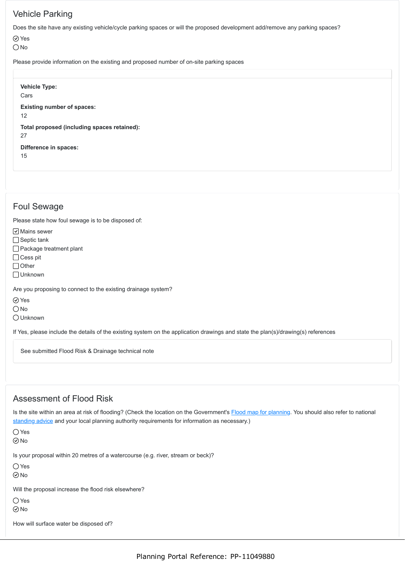## Vehicle Parking

Does the site have any existing vehicle/cycle parking spaces or will the proposed development add/remove any parking spaces?

 $\oslash$  Yes

O<sub>No</sub>

Please provide information on the existing and proposed number of on-site parking spaces

**Vehicle Type:** Cars **Existing number of spaces:** 12 **Total proposed (including spaces retained):** 27 **Difference in spaces:** 15

### Foul Sewage

Please state how foul sewage is to be disposed of:

 $\boxed{\mathsf{v}}$  Mains sewer

 $\Box$  Septic tank

Package treatment plant

 $\Box$  Cess pit

 $\bigcap$  Other

□ Unknown

Are you proposing to connect to the existing drainage system?

**⊘**Yes

 $\bigcirc$  No

Unknown

If Yes, please include the details of the existing system on the application drawings and state the plan(s)/drawing(s) references

See submitted Flood Risk & Drainage technical note

## Assessment of Flood Risk

Is the site within an area at risk of flooding? (Check the location on the Government's [Flood map for planning.](https://flood-map-for-planning.service.gov.uk/) You should also refer to national [standing advice](https://www.gov.uk/guidance/flood-risk-assessment-standing-advice) and your local planning authority requirements for information as necessary.)

 $\bigcap$  Yes

 $\odot$ No

Is your proposal within 20 metres of a watercourse (e.g. river, stream or beck)?

 $\bigcap$  Yes

 $\odot$ No

Will the proposal increase the flood risk elsewhere?

 $\bigcirc$  Yes

No

How will surface water be disposed of?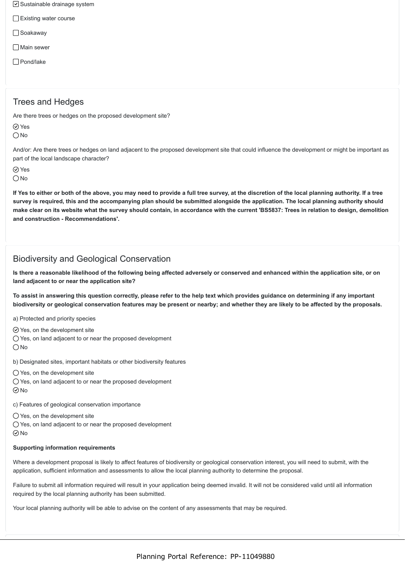- $\triangledown$  Sustainable drainage system
- Existing water course
- □ Soakaway
- □ Main sewer
- Pond/lake

### Trees and Hedges

Are there trees or hedges on the proposed development site?

Yes  $\bigcirc$  No

And/or: Are there trees or hedges on land adjacent to the proposed development site that could influence the development or might be important as part of the local landscape character?

Yes

 $\bigcap$  No

**If Yes to either or both of the above, you may need to provide a full tree survey, at the discretion of the local planning authority. If a tree survey is required, this and the accompanying plan should be submitted alongside the application. The local planning authority should make clear on its website what the survey should contain, in accordance with the current 'BS5837: Trees in relation to design, demolition and construction - Recommendations'.**

## Biodiversity and Geological Conservation

**Is there a reasonable likelihood of the following being affected adversely or conserved and enhanced within the application site, or on land adjacent to or near the application site?**

**To assist in answering this question correctly, please refer to the help text which provides guidance on determining if any important biodiversity or geological conservation features may be present or nearby; and whether they are likely to be affected by the proposals.**

a) Protected and priority species

- $\odot$  Yes, on the development site
- Yes, on land adjacent to or near the proposed development

 $\bigcap$  No

b) Designated sites, important habitats or other biodiversity features

- Yes, on the development site
- $\bigcirc$  Yes, on land adjacent to or near the proposed development  $\odot$ No
- 
- c) Features of geological conservation importance
- Yes, on the development site
- Yes, on land adjacent to or near the proposed development
- $\odot$  No

### **Supporting information requirements**

Where a development proposal is likely to affect features of biodiversity or geological conservation interest, you will need to submit, with the application, sufficient information and assessments to allow the local planning authority to determine the proposal.

Failure to submit all information required will result in your application being deemed invalid. It will not be considered valid until all information required by the local planning authority has been submitted.

Your local planning authority will be able to advise on the content of any assessments that may be required.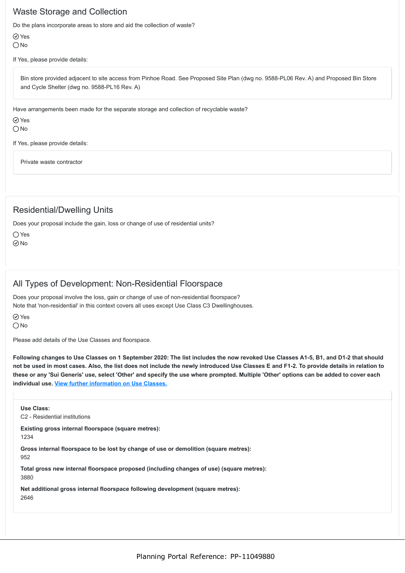### Waste Storage and Collection

Do the plans incorporate areas to store and aid the collection of waste?

Yes  $\bigcirc$  No

If Yes, please provide details:

Bin store provided adjacent to site access from Pinhoe Road. See Proposed Site Plan (dwg no. 9588-PL06 Rev. A) and Proposed Bin Store and Cycle Shelter (dwg no. 9588-PL16 Rev. A)

Have arrangements been made for the separate storage and collection of recyclable waste?

Yes

 $ONo$ 

If Yes, please provide details:

Private waste contractor

### Residential/Dwelling Units

Does your proposal include the gain, loss or change of use of residential units?

 $\bigcirc$  Yes  $\odot$ No

### All Types of Development: Non-Residential Floorspace

Does your proposal involve the loss, gain or change of use of non-residential floorspace? Note that 'non-residential' in this context covers all uses except Use Class C3 Dwellinghouses.

⊙ Yes  $O$  No

Please add details of the Use Classes and floorspace.

**Following changes to Use Classes on 1 September 2020: The list includes the now revoked Use Classes A1-5, B1, and D1-2 that should not be used in most cases. Also, the list does not include the newly introduced Use Classes E and F1-2. To provide details in relation to these or any 'Sui Generis' use, select 'Other' and specify the use where prompted. Multiple 'Other' options can be added to cover each individual use. [View further information on Use Classes.](https://www.planningportal.co.uk/info/200130/common_projects/9/change_of_use)**

**Use Class:** C2 - Residential institutions **Existing gross internal floorspace (square metres):** 1234 **Gross internal floorspace to be lost by change of use or demolition (square metres):** 952 **Total gross new internal floorspace proposed (including changes of use) (square metres):** 3880

**Net additional gross internal floorspace following development (square metres):** 2646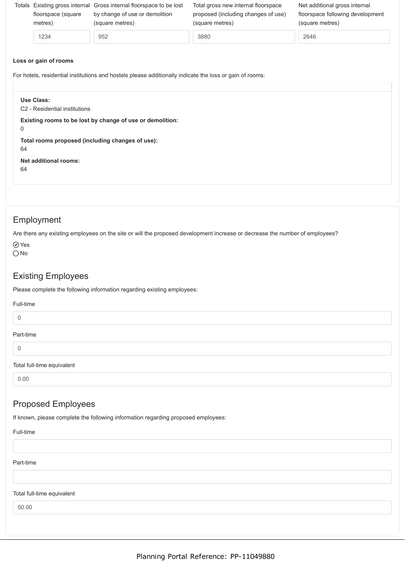| floorspace (square<br>metres) | Totals Existing gross internal Gross internal floorspace to be lost<br>by change of use or demolition<br>(square metres) | Total gross new internal floorspace<br>proposed (including changes of use)<br>(square metres) | Net additional gross internal<br>floorspace following development<br>(square metres) |
|-------------------------------|--------------------------------------------------------------------------------------------------------------------------|-----------------------------------------------------------------------------------------------|--------------------------------------------------------------------------------------|
| 1234                          | 952                                                                                                                      | 3880                                                                                          | 2646                                                                                 |
|                               |                                                                                                                          |                                                                                               |                                                                                      |

#### **Loss or gain of rooms**

For hotels, residential institutions and hostels please additionally indicate the loss or gain of rooms:

| Use Class:<br>C <sub>2</sub> - Residential institutions                  |  |
|--------------------------------------------------------------------------|--|
| Existing rooms to be lost by change of use or demolition:<br>$\mathbf 0$ |  |
| Total rooms proposed (including changes of use):<br>64                   |  |
| Net additional rooms:<br>64                                              |  |
|                                                                          |  |

### Employment

Are there any existing employees on the site or will the proposed development increase or decrease the number of employees?

 $\oslash$  Yes  $\bigcirc$  No

### Existing Employees

Please complete the following information regarding existing employees:

# Full-time 0 Part-time 0 Total full-time equivalent 0.00

## Proposed Employees

If known, please complete the following information regarding proposed employees:

#### Full-time

#### Part-time

#### Total full-time equivalent

50.00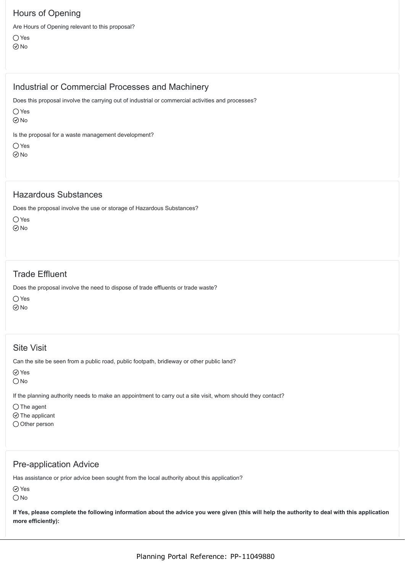## Hours of Opening

Are Hours of Opening relevant to this proposal? Yes No

## Industrial or Commercial Processes and Machinery

Does this proposal involve the carrying out of industrial or commercial activities and processes?

Yes

 $\odot$ No

Is the proposal for a waste management development?

○ Yes

 $\odot$ No

### Hazardous Substances

Does the proposal involve the use or storage of Hazardous Substances?

O Yes  $\odot$ No

## Trade Effluent

Does the proposal involve the need to dispose of trade effluents or trade waste?

Yes

 $\odot$ No

## Site Visit

Can the site be seen from a public road, public footpath, bridleway or other public land?

Yes

O<sub>No</sub>

If the planning authority needs to make an appointment to carry out a site visit, whom should they contact?

 $\bigcap$  The agent

 $\odot$  The applicant

O Other person

### Pre-application Advice

Has assistance or prior advice been sought from the local authority about this application?

Yes

 $\bigcirc$  No

**If Yes, please complete the following information about the advice you were given (this will help the authority to deal with this application more efficiently):**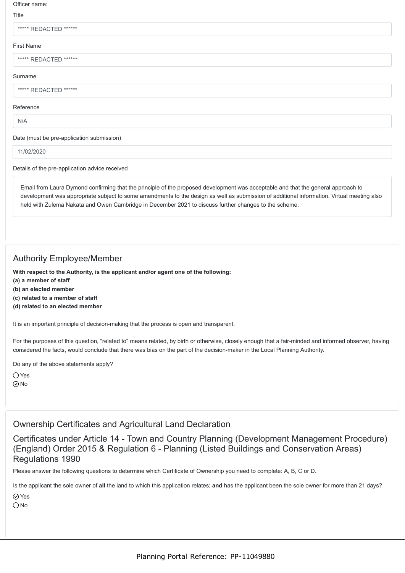#### Officer name:

#### Title

|  | ***** REDACTED ****** |  |  |  |  |
|--|-----------------------|--|--|--|--|
|--|-----------------------|--|--|--|--|

#### First Name

\*\*\*\*\* REDACTED \*\*\*\*\*\*

#### Surname

#### \*\*\*\*\* REDACTED \*\*\*\*\*\*

#### Reference

N/A

#### Date (must be pre-application submission)

11/02/2020

#### Details of the pre-application advice received

Email from Laura Dymond confirming that the principle of the proposed development was acceptable and that the general approach to development was appropriate subject to some amendments to the design as well as submission of additional information. Virtual meeting also held with Zulema Nakata and Owen Cambridge in December 2021 to discuss further changes to the scheme.

### Authority Employee/Member

**With respect to the Authority, is the applicant and/or agent one of the following:**

- **(a) a member of staff**
- **(b) an elected member**
- **(c) related to a member of staff**
- **(d) related to an elected member**

It is an important principle of decision-making that the process is open and transparent.

For the purposes of this question, "related to" means related, by birth or otherwise, closely enough that a fair-minded and informed observer, having considered the facts, would conclude that there was bias on the part of the decision-maker in the Local Planning Authority.

Do any of the above statements apply?

Yes  $\odot$ No

### Ownership Certificates and Agricultural Land Declaration

Certificates under Article 14 - Town and Country Planning (Development Management Procedure) (England) Order 2015 & Regulation 6 - Planning (Listed Buildings and Conservation Areas) Regulations 1990

Please answer the following questions to determine which Certificate of Ownership you need to complete: A, B, C or D.

Is the applicant the sole owner of **all** the land to which this application relates; **and** has the applicant been the sole owner for more than 21 days? Yes

O<sub>No</sub>